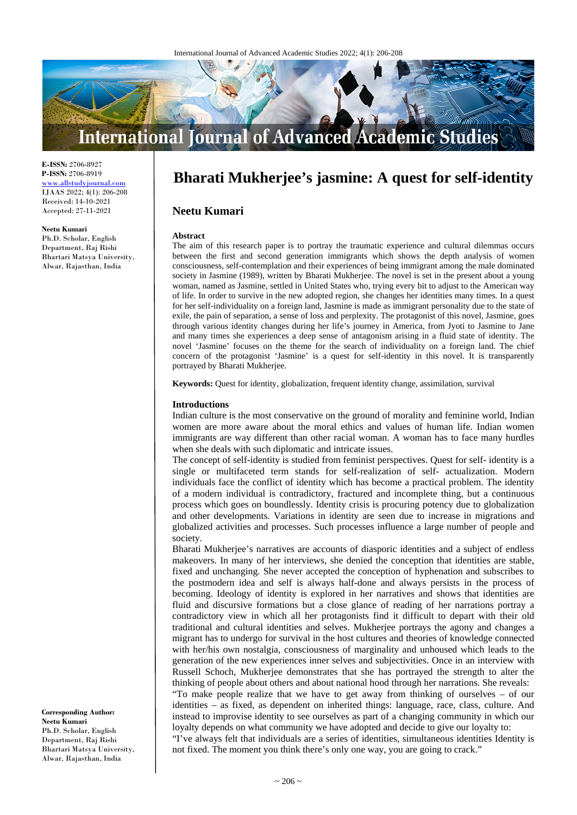

**E-ISSN:** 2706-8927 **P-ISSN:** 2706-8919 www.allstudyjournal.com IJAAS 2022; 4(1): 206-208 Received: 14-10-2021 Accepted: 27-11-2021

#### **Neetu Kumari**

Ph.D. Scholar, English Department, Raj Rishi Bhartari Matsya University, Alwar, Rajasthan, India

**Bharati Mukherjee's jasmine: A quest for self-identity**

# **Neetu Kumari**

#### **Abstract**

The aim of this research paper is to portray the traumatic experience and cultural dilemmas occurs between the first and second generation immigrants which shows the depth analysis of women consciousness, self-contemplation and their experiences of being immigrant among the male dominated society in Jasmine (1989), written by Bharati Mukherjee. The novel is set in the present about a young woman, named as Jasmine, settled in United States who, trying every bit to adjust to the American way of life. In order to survive in the new adopted region, she changes her identities many times. In a quest for her self-individuality on a foreign land, Jasmine is made as immigrant personality due to the state of exile, the pain of separation, a sense of loss and perplexity. The protagonist of this novel, Jasmine, goes through various identity changes during her life's journey in America, from Jyoti to Jasmine to Jane and many times she experiences a deep sense of antagonism arising in a fluid state of identity. The novel 'Jasmine' focuses on the theme for the search of individuality on a foreign land. The chief concern of the protagonist 'Jasmine' is a quest for self-identity in this novel. It is transparently portrayed by Bharati Mukherjee.

**Keywords:** Quest for identity, globalization, frequent identity change, assimilation, survival

### **Introductions**

Indian culture is the most conservative on the ground of morality and feminine world, Indian women are more aware about the moral ethics and values of human life. Indian women immigrants are way different than other racial woman. A woman has to face many hurdles when she deals with such diplomatic and intricate issues.

The concept of self-identity is studied from feminist perspectives. Quest for self- identity is a single or multifaceted term stands for self-realization of self- actualization. Modern individuals face the conflict of identity which has become a practical problem. The identity of a modern individual is contradictory, fractured and incomplete thing, but a continuous process which goes on boundlessly. Identity crisis is procuring potency due to globalization and other developments. Variations in identity are seen due to increase in migrations and globalized activities and processes. Such processes influence a large number of people and society.

Bharati Mukherjee's narratives are accounts of diasporic identities and a subject of endless makeovers. In many of her interviews, she denied the conception that identities are stable, fixed and unchanging. She never accepted the conception of hyphenation and subscribes to the postmodern idea and self is always half-done and always persists in the process of becoming. Ideology of identity is explored in her narratives and shows that identities are fluid and discursive formations but a close glance of reading of her narrations portray a contradictory view in which all her protagonists find it difficult to depart with their old traditional and cultural identities and selves. Mukherjee portrays the agony and changes a migrant has to undergo for survival in the host cultures and theories of knowledge connected with her/his own nostalgia, consciousness of marginality and unhoused which leads to the generation of the new experiences inner selves and subjectivities. Once in an interview with Russell Schoch, Mukherjee demonstrates that she has portrayed the strength to alter the thinking of people about others and about national hood through her narrations. She reveals: "To make people realize that we have to get away from thinking of ourselves – of our

identities – as fixed, as dependent on inherited things: language, race, class, culture. And instead to improvise identity to see ourselves as part of a changing community in which our loyalty depends on what community we have adopted and decide to give our loyalty to:

"I've always felt that individuals are a series of identities, simultaneous identities Identity is not fixed. The moment you think there's only one way, you are going to crack."

**Corresponding Author: Neetu Kumari** Ph.D. Scholar, English Department, Raj Rishi Bhartari Matsya University, Alwar, Rajasthan, India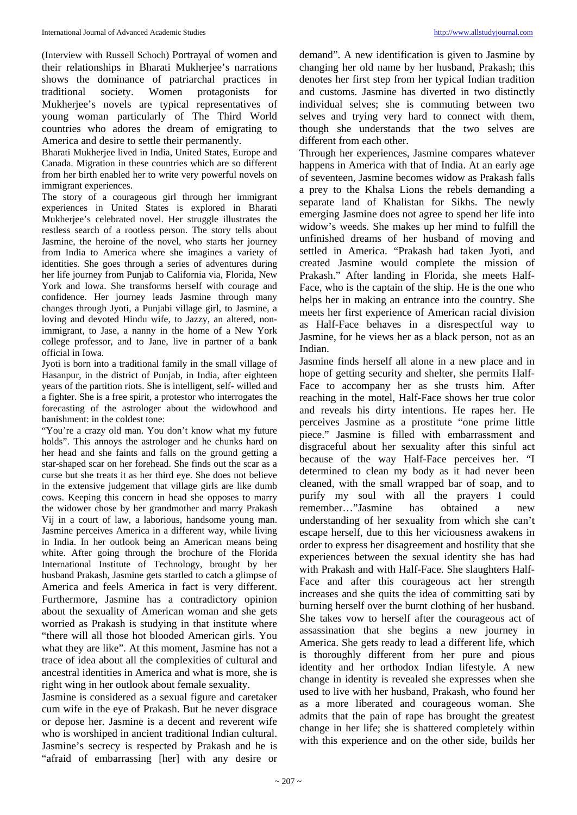(Interview with Russell Schoch) Portrayal of women and their relationships in Bharati Mukherjee's narrations shows the dominance of patriarchal practices in traditional society. Women protagonists for Mukherjee's novels are typical representatives of young woman particularly of The Third World countries who adores the dream of emigrating to America and desire to settle their permanently.

Bharati Mukherjee lived in India, United States, Europe and Canada. Migration in these countries which are so different from her birth enabled her to write very powerful novels on immigrant experiences.

The story of a courageous girl through her immigrant experiences in United States is explored in Bharati Mukherjee's celebrated novel. Her struggle illustrates the restless search of a rootless person. The story tells about Jasmine, the heroine of the novel, who starts her journey from India to America where she imagines a variety of identities. She goes through a series of adventures during her life journey from Punjab to California via, Florida, New York and Iowa. She transforms herself with courage and confidence. Her journey leads Jasmine through many changes through Jyoti, a Punjabi village girl, to Jasmine, a loving and devoted Hindu wife, to Jazzy, an altered, nonimmigrant, to Jase, a nanny in the home of a New York college professor, and to Jane, live in partner of a bank official in Iowa.

Jyoti is born into a traditional family in the small village of Hasanpur, in the district of Punjab, in India, after eighteen years of the partition riots. She is intelligent, self- willed and a fighter. She is a free spirit, a protestor who interrogates the forecasting of the astrologer about the widowhood and banishment: in the coldest tone:

"You're a crazy old man. You don't know what my future holds". This annoys the astrologer and he chunks hard on her head and she faints and falls on the ground getting a star-shaped scar on her forehead. She finds out the scar as a curse but she treats it as her third eye. She does not believe in the extensive judgement that village girls are like dumb cows. Keeping this concern in head she opposes to marry the widower chose by her grandmother and marry Prakash Vij in a court of law, a laborious, handsome young man. Jasmine perceives America in a different way, while living in India. In her outlook being an American means being white. After going through the brochure of the Florida International Institute of Technology, brought by her husband Prakash, Jasmine gets startled to catch a glimpse of America and feels America in fact is very different. Furthermore, Jasmine has a contradictory opinion about the sexuality of American woman and she gets worried as Prakash is studying in that institute where "there will all those hot blooded American girls. You what they are like". At this moment, Jasmine has not a trace of idea about all the complexities of cultural and ancestral identities in America and what is more, she is right wing in her outlook about female sexuality.

Jasmine is considered as a sexual figure and caretaker cum wife in the eye of Prakash. But he never disgrace or depose her. Jasmine is a decent and reverent wife who is worshiped in ancient traditional Indian cultural. Jasmine's secrecy is respected by Prakash and he is "afraid of embarrassing [her] with any desire or

demand". A new identification is given to Jasmine by changing her old name by her husband, Prakash; this denotes her first step from her typical Indian tradition and customs. Jasmine has diverted in two distinctly individual selves; she is commuting between two selves and trying very hard to connect with them, though she understands that the two selves are different from each other.

Through her experiences, Jasmine compares whatever happens in America with that of India. At an early age of seventeen, Jasmine becomes widow as Prakash falls a prey to the Khalsa Lions the rebels demanding a separate land of Khalistan for Sikhs. The newly emerging Jasmine does not agree to spend her life into widow's weeds. She makes up her mind to fulfill the unfinished dreams of her husband of moving and settled in America. "Prakash had taken Jyoti, and created Jasmine would complete the mission of Prakash." After landing in Florida, she meets Half-Face, who is the captain of the ship. He is the one who helps her in making an entrance into the country. She meets her first experience of American racial division as Half-Face behaves in a disrespectful way to Jasmine, for he views her as a black person, not as an Indian.

Jasmine finds herself all alone in a new place and in hope of getting security and shelter, she permits Half-Face to accompany her as she trusts him. After reaching in the motel, Half-Face shows her true color and reveals his dirty intentions. He rapes her. He perceives Jasmine as a prostitute "one prime little piece." Jasmine is filled with embarrassment and disgraceful about her sexuality after this sinful act because of the way Half-Face perceives her. "I determined to clean my body as it had never been cleaned, with the small wrapped bar of soap, and to purify my soul with all the prayers I could remember…"Jasmine has obtained a new understanding of her sexuality from which she can't escape herself, due to this her viciousness awakens in order to express her disagreement and hostility that she experiences between the sexual identity she has had with Prakash and with Half-Face. She slaughters Half-Face and after this courageous act her strength increases and she quits the idea of committing sati by burning herself over the burnt clothing of her husband. She takes vow to herself after the courageous act of assassination that she begins a new journey in America. She gets ready to lead a different life, which is thoroughly different from her pure and pious identity and her orthodox Indian lifestyle. A new change in identity is revealed she expresses when she used to live with her husband, Prakash, who found her as a more liberated and courageous woman. She admits that the pain of rape has brought the greatest change in her life; she is shattered completely within with this experience and on the other side, builds her